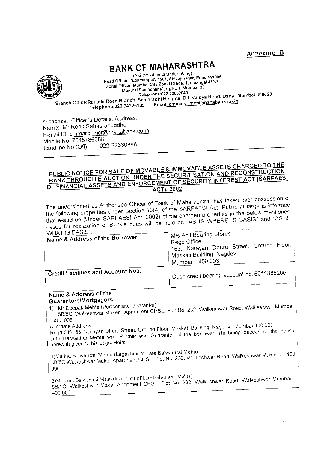Annexure-B

**BANK OF MAHARASHTRA** 



(A Govt. of India Undertaking) Head Office: 'Lokmangal', 1501, Shivajinagar, Pune 411005 Zonal Office: Mumbai City Zonal Office, Janmangal 45/47, Mumbai Samachar Marg, Fort, Mumbai-23 Telephone: 022-22662049 Branch Office:Ranade Road Branch, Samaradhi Heights, D.L.Vaidya Road, Dadar Mumbai 400028 Email cmmarc\_mcr@mahabank.co.in Telephone: 022 24226105

Authorised Officer's Details: Address: Name: Mr Rohit Sahasrabuddhe E-mail ID: cmmarc\_mcr@mahabank.co.in Mobile No: 7045786088 022-22630886 Landline No (Off):

#### PUBLIC NOTICE FOR SALE OF MOVABLE & IMMOVABLE ASSETS CHARGED TO THE BANK THROUGH E-AUCTION UNDER THE SECURITISATION AND RECONSTRUCTION OF FINANCIAL ASSETS AND ENFORCEMENT OF SECURITY INTEREST ACT (SARFAESI ACT), 2002

The undersigned as Authorised Officer of Bank of Maharashtra has taken over possession of the following properties under Section 13(4) of the SARFAESI Act. Public at large is informed that e-auction (Under SARFAESI Act. 2002) of the charged properties in the below mentioned cases for realization of Bank's dues will be held on "AS IS WHERE IS BASIS" and "AS IS

| WHAT IS BASIST<br>Name & Address of the Borrower | M/s Anil Bearing Stores<br><sup>1</sup> Regd Office:<br>163, Narayan Dhuru Street. Ground Floor.<br><sup>1</sup> Maskati Building, Nagdevi<br>$^+$ Mumbai - 400 003 |
|--------------------------------------------------|---------------------------------------------------------------------------------------------------------------------------------------------------------------------|
| $^\circ$ Credit Facilities and Account Nos.      | Cash credit bearing account no. 60118852661                                                                                                                         |

#### Name & Address of the Guarantors/Mortgagors

1) Mr Deepak Mehta (Partner and Guarantor)

5B/5C, Walkeshwar Maker Apartment CHSL, Plot No. 232, Walkeshwar Road, Walkeshwar Mumbai

 $= 400,006.$ 

Regd Off-163, Narayan Dhuru Street, Ground Floor, Maskati Buidling. Nagdevi, Mumbai 400 003 Late Balwantrai Mehta was Partner and Guarantor of the borrower. He being deceased, the notice herewith given to his Legal Heirs:

1) Ms Ina Balwantrai Mehta (Legal heir of Late Balwantrai Mehta) 5B/5C, Walkeshwar Maker Apartment CHSL, Plot No. 232, Walkeshwar Road, Walkeshwar Mumbai - 400 006.

2)Mr. Anil Balwantrai Mehta(legal Heir of Late Balwantrai Mehta) 5B/5C, Walkeshwar Maker Apartment CHSL, Plot No. 232, Walkeshwar Road, Walkeshwar Mumbai -400 006.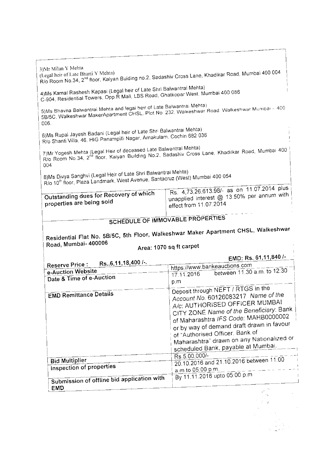| 3)Mr Milan Y Mehta<br>R/o Room No.34, 2 <sup>nd</sup> floor, Kalyan Buiding no.2, Sadashiv Cross Lane, Khadikar Road, Mumbai 400 004                                                     |                                                                                                                                                                                                                                                                                                                                                                   |
|------------------------------------------------------------------------------------------------------------------------------------------------------------------------------------------|-------------------------------------------------------------------------------------------------------------------------------------------------------------------------------------------------------------------------------------------------------------------------------------------------------------------------------------------------------------------|
| 4) Ms Kamal Rashesh Kapasi (Legal heir of Late Shri Balwantrai Mehta)<br>C-904, Residential Towers, Opp R Mall, LBS Road, Ghatkopar West, Mumbai 400 086                                 |                                                                                                                                                                                                                                                                                                                                                                   |
| 5) Ms Bhavna Balwantrai Mehta and legal heir of Late Balwantrai Mehta)<br>5B/5C, Walkeshwar MakerApartment CHSL, Plot No. 232, Walkeshwar Road, Walkeshwar Mumbai - 400<br>006.          |                                                                                                                                                                                                                                                                                                                                                                   |
| 6) Ms Rupal Jayesh Badani (Legal heir of Late Shri Balwantrai Mehta)<br>R/o Shanti Villa, 46, HIG Panampilli Nagar, Arnakulam, Cochin 682 036                                            |                                                                                                                                                                                                                                                                                                                                                                   |
| 7) Mr Yogesh Mehta (Legal Heir of deceased Late Balwantrai Mehta)<br>R/o Room No.34, 2 <sup>nd</sup> floor, Kalyan Building No.2, Sadashiv Cross Lane, Khadilkar Road, Mumbai 400<br>004 |                                                                                                                                                                                                                                                                                                                                                                   |
| 8) Ms Divya Sanghvi (Legal Heir of Late Shri Balwantrai Mehta)<br>R/o 10 <sup>th</sup> floor, Plaza Landmark, West Avenue, Santacruz (West) Mumbai 400 054                               |                                                                                                                                                                                                                                                                                                                                                                   |
| Outstanding dues for Recovery of which                                                                                                                                                   | Rs. 4,73,26,613.98/- as on 11.07.2014 plus<br>unapplied interest @ 13.50% per annum with                                                                                                                                                                                                                                                                          |
| properties are being sold                                                                                                                                                                | effect from 11.07.2014                                                                                                                                                                                                                                                                                                                                            |
| SCHEDULE OF IMMOVABLE PROPERTIES<br>Residential Flat No. 5B/5C, 5th Floor, Walkeshwar Maker Apartment CHSL, Walkeshwar<br>Road, Mumbai- 400006                                           |                                                                                                                                                                                                                                                                                                                                                                   |
| Area: 1070 sq ft carpet                                                                                                                                                                  |                                                                                                                                                                                                                                                                                                                                                                   |
| Rs6,11,18,400 /-.                                                                                                                                                                        | EMD: Rs. 61,11,840/-                                                                                                                                                                                                                                                                                                                                              |
| Reserve Price:                                                                                                                                                                           | https://www.bankeauctions.com                                                                                                                                                                                                                                                                                                                                     |
| e-Auction Website<br>Date & Time of e-Auction                                                                                                                                            | between 11.30 a.m. to 12:30<br>17 11 2016<br>p.m                                                                                                                                                                                                                                                                                                                  |
| <b>EMD Remittance Details</b>                                                                                                                                                            | Deposit through NEFT / RTGS in the<br>Account No. 60126083217 Name of the<br>A/c: AUTHORISED OFFICER MUMBAI<br>CITY ZONE Name of the Beneficiary: Bank<br>of Maharashtra IFS Code: MAHB0000002<br>or by way of demand draft drawn in favour<br>of "Authorised Officer, Bank of<br>Maharashtra" drawn on any Nationalized or<br>scheduled Bank, payable at Mumbai. |
|                                                                                                                                                                                          | Rs.5,00,000/-                                                                                                                                                                                                                                                                                                                                                     |
| <b>Bid Multiplier</b><br><b>Inspection of properties</b>                                                                                                                                 | 20.10.2016 and 21.10.2016 between 11:00<br>a.m.to 05:00 p.m.<br>By 11.11.2016 upto 05:00 p.m                                                                                                                                                                                                                                                                      |

ing Kalendar<br>Samung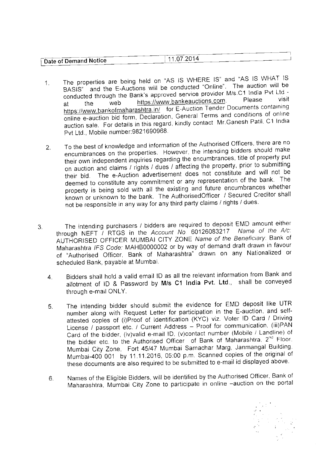| Date of Demand Notice | $^{\circ}$ 11.07.2014 |  |
|-----------------------|-----------------------|--|

- The properties are being held on "AS IS WHERE IS" and "AS IS WHAT IS  $1<sup>1</sup>$ BASIS" and the E-Auctions will be conducted "Online". The auction will be conducted through the Bank's approved service provider M/s.C1 India Pvt Ltd visit https://www.bankeauctions.com Please web the https://www.bankofmaharashtra.in/ for E-Auction Tender Documents containing at online e-auction bid form, Declaration, General Terms and conditions of online auction sale. For details in this regard, kindly contact Mr.Ganesh Patil, C1 India Pvt Ltd., Mobile number:9821690968.
- To the best of knowledge and information of the Authorised Officers, there are no  $2.$ encumbrances on the properties. However, the intending bidders should make their own independent inquiries regarding the encumbrances, title of property put on auction and claims / rights / dues / affecting the property, prior to submitting their bid. The e-Auction advertisement does not constitute and will not be deemed to constitute any commitment or any representation of the bank. The property is being sold with all the existing and future encumbrances whether known or unknown to the bank. The AuthorisedOfficer / Secured Creditor shall not be responsible in any way for any third party claims / rights / dues.
- The intending purchasers / bidders are required to deposit EMD amount either  $\mathcal{L}$ Name of the A/c: through NEFT / RTGS in the Account No. 60126083217 AUTHORISED OFFICER MUMBAI CITY ZONE Name of the Beneficiary: Bank of Maharashtra IFS Code: MAHB0000002 or by way of demand draft drawn in favour of "Authorised Officer, Bank of Maharashtra" drawn on any Nationalized or scheduled Bank, payable at Mumbai.
	- Bidders shall hold a valid email ID as all the relevant information from Bank and  $\overline{4}$ . allotment of ID & Password by M/s C1 India Pvt. Ltd., shall be conveyed through e-mail ONLY.
	- The intending bidder should submit the evidence for EMD deposit like UTR  $5<sub>1</sub>$ number along with Request Letter for participation in the E-auction, and selfattested copies of (i)Proof of Identification (KYC) viz. Voter ID Card / Driving License / passport etc. / Current Address - Proof for communication. (iii)PAN Card of the bidder, (iv)valid e-mail ID, (v)contact number (Mobile / Landline) of the bidder etc. to the Authorised Officer of Bank of Maharashtra, 2<sup>nd</sup> Floor. Mumbai City Zone, Fort 45/47 Mumbai Samachar Marg, Janmangal Building. Mumbai-400 001 by 11.11.2016, 05:00 p.m. Scanned copies of the original of these documents are also required to be submitted to e-mail id displayed above.
	- Names of the Eligible Bidders, will be identified by the Authorised Officer, Bank of 6. Maharashtra, Mumbai City Zone to participate in online -auction on the portal

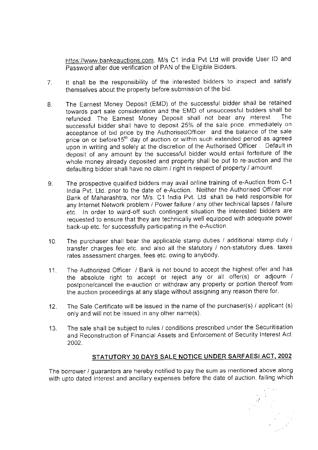https://www.bankeauctions.com. M/s C1 lndia Pvt Ltd will provide User lD and Password after due verification of PAN of the Eligible Bidders.

- 7. lt shall be the responsibility of the interested bidders to inspect and satisfy themselves about the property before submission of the bid
- 8. The Earnest Money Deposit (EMD) of the successful bidder shall be retained towards part sale consideration and the EMD of unsuccessful bidders shall be<br>refunded. The Earnest Money Deposit shall not bear any interest. The refunded. The Earnest Money Deposit shall not bear any interest. successful bidder shall have to deposit 25% of the sale price, lmmediately on acceptance of bid price by the Authorisedofficer and the balance of the sale price on or before15<sup>th</sup> day of auction or within such extended period as agreed upon in writing and solely at the discretion of the Authorised officer . Default in deposit of any amount by the successful bidder would entail forfeiture of the whole money already deposited and property shall be put to re-auction and the defaulting bidder shall have no claim / right in respect of property / amount
- L The prospective qualified bidders may avail online training of e-Auction from c-1 lndia Pvt. Ltd. prior to the date of e-Auction. Neither the Authorised officer nor Bank of Maharashtra, nor M/s. c1 India Pvt. Ltd. shall be held responsible for any Internet Network problem / Power failure / any other technical lapses / failure etc. ln order to ward-off such contingent situation the interested bidders are requested to ensure that they are technically well equipped with adequate power back-up etc. for successfully participating in the e-Auction
- 10. The purchaser shall bear the applicable stamp duties / additional stamp duty / transfer charges fee etc. and also all the statutory / non-statutory dues. taxes rates assessment charges, fees etc. owing to anybody
- 11. The Authorized officer / Bank is not bound to accept the highest offer and has the absolute right to accept or reject any or all offer(s) or adjourn / postpone/cancel the e-auction or withdraw any property or portion thereof from the auction proceedings at any stage without assigning any reason there for.
- 12. The Sale Certificate will be issued in the name of the purchaser(s) / applicant (s) only and will not be issued in any other name(s).
- '13. The sale shall be subject to rules / conditions prescribed under the Securitisation and Reconstruction of Financial Assets and Enforcement of Security Interest Act. 2002.

#### STATUTORY 30 DAYS SALE NOTICE UNDER SARFAESI ACT, 2002

The borrower / guarantors are hereby notified to pay the sum as mentioned above along with upto dated interest and ancillary expenses before the date of auction, failing which

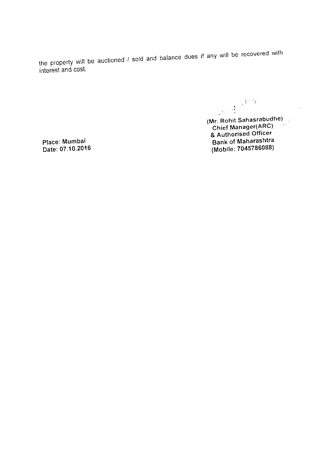the property will be auctioned / sold and balance dues if any will be recovered with interest and cosl.

 $\mathbf{I}^{(k)}$ ,']

(Mr. Rohit Sahasrabudhe) Chief Manager(ARC) & Authorised Officer Bank of Maharashtra (Mobile: 7045786088)

Place: Mumbai Date:07.10.2016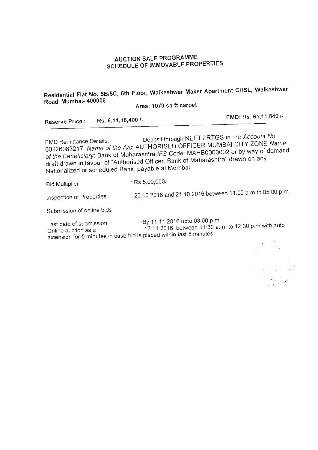### **AUCTION SALE PROGRAMME** SCHEDULE OF IMMOVABLE PROPERTIES

Residential Flat No. 5B/5C, 5th Floor, Walkeshwar Maker Apartment CHSL, Walkeshwar Road, Mumbai- 400006

Area: 1070 sq ft carpet

EMD: Rs. 61,11,840 /-Rs..6,11,18,400 /-. **Reserve Price:** 

:Deposit through NEFT / RTGS in the Account No. **EMD Remittance Details:** 60126083217 Name of the A/c: AUTHORISED OFFICER MUMBAI CITY ZONE Name of the Beneficiary: Bank of Maharashtra IFS Code: MAHB0000002 or by way of demand draft drawn in favour of "Authorised Officer, Bank of Maharashtra" drawn on any Nationalized or scheduled Bank, payable at Mumbai.

: Rs.5,00,000/-**Bid Multiplier** 

 $\ddot{\cdot}$ 

: 20.10.2016 and 21.10.2016 between 11:00 a.m.to 05:00 p.m. Inspection of Properties

Submission of online bids

:By 11.11.2016 upto 03:00 p.m. Last date of submission : 17.11.2016 between 11:30 a.m. to 12:30 p.m with auto Online auction sale extension for 5 minutes in case bid is placed within last 5 minutes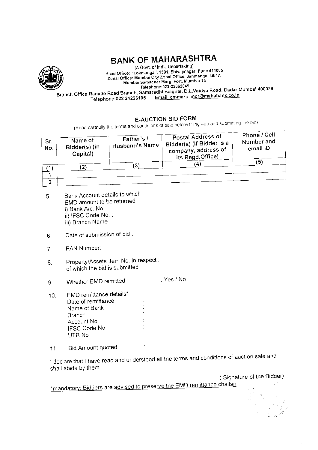# BANK OF MAHARASHTRA



(A Govt. of India Undertaking)<br>Head Office: 'Lokmangal', 1501, Shivajinagar, Pune 411005 Head Office: 'Lokmangal', 1501, Shivajinagar, Pune 41100!<br>Tonal Office: Mumbai City Zonal Office, Janmangal 45/47, Zonal Office: Mumbai City Zonal Office, Janmang<br>23-- Mumbai Samachar Marg, Fort, Mumbai Telephone:022-22662049<br>emente.czi-Partis, D.L.Vaidya Road, Dadar Mumbai 400028<br>Branch Office:Ranade Road Branch, Samaradhi Heights, D.L.Vaidya Road, Dadar Mumbai 400028<br>Email commarc\_mocr@mahabank.c<u>o.in</u>

ariade Roda Branch, 105<br>Telephone:022 24226105 Email cmmarc mcr@mahabank.co.il

#### E-AUCTION BID FORM

(Read careiully the t"'t' "nd tono't'ont ;i sale betore irl Lng -up and sL.rbm ttrnq the b d <sup>I</sup>

| Sr.<br>No. | Name of<br>Bidder(s) (in<br>Capital) | Father's /<br>Husband's Name | Postal Address of<br>Bidder(s) (If Bidder is a<br>company, address of<br>its Regd.Office) | Phone / Cell<br>Number and<br>email ID |
|------------|--------------------------------------|------------------------------|-------------------------------------------------------------------------------------------|----------------------------------------|
|            |                                      | '3                           |                                                                                           | '5                                     |
| $\sim$     |                                      |                              |                                                                                           |                                        |

- 5. Bank Account details to which EMD amount to be returned i) Bank A/c. No. : ii) IFSC Code No. : iii) Branch Name :
- 6 Date of submission of bid:
- 7. PAN Number:
- 8. Property/Assets Item No. in respect: of which the bid is submitted
- 9. Whether EMD remitted : Yes / No
- 10. EMD remittance details\* Date of remiftance Name of Bank : Branch Account No. IFSC Code No UTR NO
- 11. Bid Amount quoted

I declare that I have read and understood all the terms and conditions of auction sale and shall abide bY them.

(Signature of the Bidder)<br>mandatory: Bidders are advised to preserve the EMD remittance challan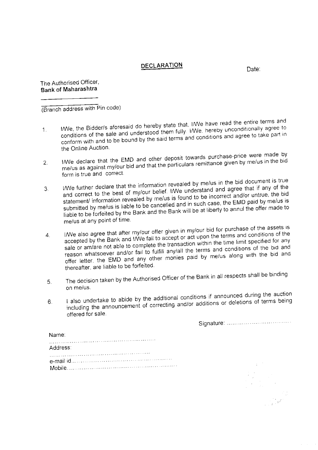#### **DECLARATION**

Date:

The Authorised Officer, **Bank of Maharashtra** 

(Branch address with Pin code)

- I/We, the Bidder/s aforesaid do hereby state that, I/We have read the entire terms and conditions of the sale and understood them fully. I/We, hereby unconditionally agree to  $1<sub>1</sub>$ conform with and to be bound by the said terms and conditions and agree to take part in the Online Auction.
- I/We declare that the EMD and other deposit towards purchase-price were made by me/us as against my/our bid and that the particulars remittance given by me/us in the bid  $2.$ form is true and correct.
- I/We further declare that the information revealed by me/us in the bid document is true and correct to the best of my/our belief. I/We understand and agree that if any of the 3 statement/ information revealed by me/us is found to be incorrect and/or untrue, the bid submitted by me/us is liable to be cancelled and in such case, the EMD paid by me/us is liable to be forfeited by the Bank and the Bank will be at liberty to annul the offer made to me/us at any point of time.
- I/We also agree that after my/our offer given in my/our bid for purchase of the assets is accepted by the Bank and I/We fail to accept or act upon the terms and conditions of the  $\mathbf{A}_{\cdot}$ sale or am/are not able to complete the transaction within the time limit specified for any reason whatsoever and/or fail to fulfill any/all the terms and conditions of the bid and offer letter, the EMD and any other monies paid by me/us along with the bid and thereafter, are liable to be forfeited.
- The decision taken by the Authorised Officer of the Bank in all respects shall be binding  $5<sub>1</sub>$ on me/us.
- I also undertake to abide by the additional conditions if announced during the auction including the announcement of correcting and/or additions or deletions of terms being  $6.$ offered for sale.

| Name:    |
|----------|
| Address: |
|          |
|          |
|          |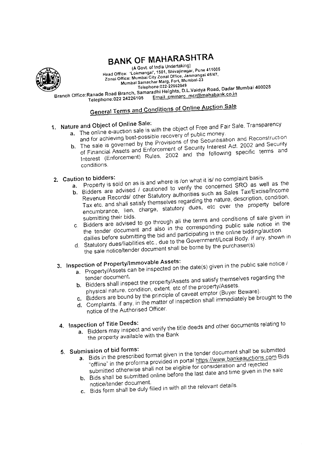# **BANK OF MAHARASHTRA**



(A Govt. of India Undertaking) Head Office: 'Lokmangal', 1501, Shivajinagar, Pune 411005 Zonal Office: Mumbai City Zonal Office, Janmangal 45/47, Mumbai Samachar Marg, Fort, Mumbai-23 Telephone 022-22662049 Branch Office:Ranade Road Branch, Samaradhi Heights, D.L.Vaidya Road, Dadar Mumbai 400028 Email cmmarc\_mcr@mahabank.co.in Telephone: 022 24226105

**General Terms and Conditions of Online Auction Sale** 

# 1. Nature and Object of Online Sale:

- a. The online e-auction sale is with the object of Free and Fair Sale, Transparency and for achieving best-possible recovery of public money.
- b. The sale is governed by the Provisions of the Securitisation and Reconstruction
- of Financial Assets and Enforcement of Security Interest Act. 2002 and Security Interest (Enforcement) Rules, 2002 and the following specific terms and conditions.

#### 2. Caution to bidders:

- a. Property is sold on as is and where is /on what it is/ no complaint basis.
- b. Bidders are advised / cautioned to verify the concerned SRO as well as the
- Revenue Records/ other Statutory authorities such as Sales Tax/Excise/Income Tax etc. and shall satisfy themselves regarding the nature, description, condition, encumbrance, lien, charge, statutory dues, etc over the property before
- c. Bidders are advised to go through all the terms and conditions of sale given in the tender document and also in the corresponding public sale notice in the dailies before submitting the bid and participating in the online bidding/auction. d. Statutory dues/liabilities etc., due to the Government/Local Body. if any. shown in
- the sale notice/tender document shall be borne by the purchaser(s).

# 3. Inspection of Property/Immovable Assets:

- $\mathbf{\hat{a}}$ . Property/Assets can be inspected on the date(s) given in the public sale notice /
	- b. Bidders shall inspect the property/Assets and satisfy themselves regarding the physical nature, condition, extent, etc of the property/Assets.
	- c. Bidders are bound by the principle of caveat emptor (Buyer Beware).
	- d. Complaints, if any, in the matter of inspection shall immediately be brought to the notice of the Authorised Officer.

## 4. Inspection of Title Deeds:

a. Bidders may inspect and verify the title deeds and other documents relating to the property available with the Bank

## 5. Submission of bid forms:

- a. Bids in the prescribed format given in the tender document shall be submitted "offline" in the proforma provided in portal https://www.bankeauctions.com Bids submitted otherwise shall not be eligible for consideration and rejected. b. Bids shall be submitted online before the last date and time given in the sale
- notice/tender document.
- c. Bids form shall be duly filled in with all the relevant details.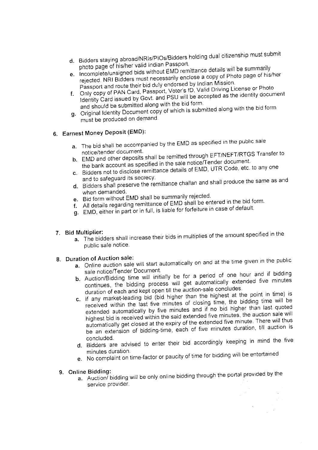- d. Bidders staying abroad/NRIs/PIOs/Bidders holding dual citizenship must submit photo page of his/her valid Indian Passport.
- e. Incomplete/unsigned bids without EMD remittance details will be summarily
- rejected. NRI Bidders must necessarily enclose a copy of Photo page of his/her Passport and route their bid duly endorsed by Indian Mission.
- f. Only copy of PAN Card, Passport, Voter's ID, Valid Driving License or Photo Identity Card issued by Govt. and PSU will be accepted as the identity document and should be submitted along with the bid form. g. Original Identity Document copy of which is submitted along with the bid form
- must be produced on demand.

## 6. Earnest Money Deposit (EMD):

- a. The bid shall be accompanied by the EMD as specified in the public sale notice/tender document.
- b. EMD and other deposits shall be remitted through EFT/NEFT/RTGS Transfer to the bank account as specified in the sale notice/Tender document.
- c. Bidders not to disclose remittance details of EMD, UTR Code, etc. to any one and to safeguard its secrecy.
- d. Bidders shall preserve the remittance challan and shall produce the same as and when demanded.
- e. Bid form without EMD shall be summarily rejected.
- f. All details regarding remittance of EMD shall be entered in the bid form.
- g. EMD, either in part or in full, is liable for forfeiture in case of default.

#### 7. Bid Multiplier:

a. The bidders shall increase their bids in multiplies of the amount specified in the public sale notice.

#### 8. Duration of Auction sale:

- a. Online auction sale will start automatically on and at the time given in the public sale notice/Tender Document.
- b. Auction/Bidding time will initially be for a period of one hour and if bidding continues, the bidding process will get automatically extended five minutes duration of each and kept open till the auction-sale concludes.
- c. If any market-leading bid (bid higher than the highest at the point in time) is received within the last five minutes of closing time, the bidding time will be extended automatically by five minutes and if no bid higher than last quoted highest bid is received within the said extended five minutes, the auction sale will automatically get closed at the expiry of the extended five minute. There will thus be an extension of bidding-time, each of five minutes duration, till auction is concluded.
- d. Bidders are advised to enter their bid accordingly keeping in mind the five minutes duration.
- e. No complaint on time-factor or paucity of time for bidding will be entertained

#### 9. Online Bidding:

a. Auction/bidding will be only online bidding through the portal provided by the service provider.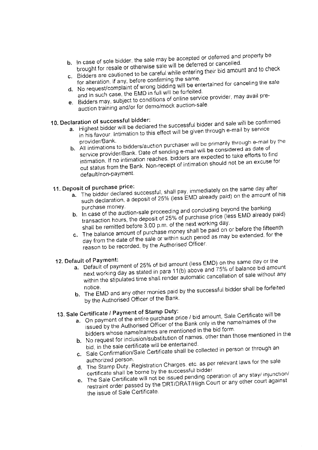- b. In case of sole bidder, the sale may be accepted or deferred and property be brought for resale or otherwise sale will be deferred or cancelled.
- c. Bidders are cautioned to be careful while entering their bid amount and to check for alteration, if any, before confirming the same.
- d. No request/complaint of wrong bidding will be entertained for canceling the sale and in such case, the EMD in full will be forfeited.
- e. Bidders may, subject to conditions of online service provider, may avail preauction training and/or for demo/mock auction-sale.

# 10. Declaration of successful bidder:

- a. Highest bidder will be declared the successful bidder and sale will be confirmed in his favour. Intimation to this effect will be given through e-mail by service
- b. All intimations to bidders/auction purchaser will be primarily through e-mail by the service provider/Bank. Date of sending e-mail will be considered as date of intimation. If no intimation reaches, bidders are expected to take efforts to find out status from the Bank. Non-receipt of intimation should not be an excuse for default/non-payment.

### 11. Deposit of purchase price:

- a. The bidder declared successful, shall pay, immediately on the same day after such declaration, a deposit of 25% (less EMD already paid) on the amount of his purchase money.
- b. In case of the auction-sale proceeding and concluding beyond the banking transaction hours, the deposit of 25% of purchase price (less EMD already paid) shall be remitted before 3.00 p.m. of the next working day.
- c. The balance amount of purchase money shall be paid on or before the fifteenth day from the date of the sale or within such period as may be extended, for the reason to be recorded, by the Authorised Officer.

#### 12. Default of Payment:

- a. Default of payment of 25% of bid amount (less EMD) on the same day or the next working day as stated in para 11(b) above and 75% of balance bid amount within the stipulated time shall render automatic cancellation of sale without any
- b. The EMD and any other monies paid by the successful bidder shall be forfeited by the Authorised Officer of the Bank.

# 13. Sale Certificate / Payment of Stamp Duty:

- a. On payment of the entire purchase price / bid amount, Sale Certificate will be issued by the Authorised Officer of the Bank only in the name/names of the bidders whose name/names are mentioned in the bid form.
- b. No request for inclusion/substitution of names, other than those mentioned in the bid, in the sale certificate will be entertained.
- c. Sale Confirmation/Sale Certificate shall be collected in person or through an authorized person.
- d. The Stamp Duty, Registration Charges, etc. as per relevant laws for the sale certificate shall be borne by the successful bidder.
- e. The Sale Certificate will not be issued pending operation of any stay/ injunction/ restraint order passed by the DRT/DRAT/High Court or any other court against the issue of Sale Certificate.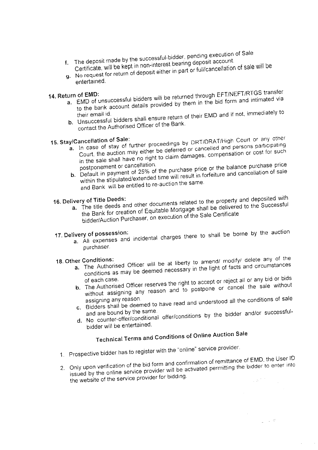- f. The deposit made by the successful-bidder, pending execution of Sale
- Certificate, will be kept in non-interest bearing deposit account. g. No request for return of deposit either in part or full/cancellation of sale will be
- entertained.

### 14. Return of EMD:

- a... See Fig. 2. The Consumers will be returned through EFT/NEFT/RTGS transfer a. EMD of unsuccessful bidders will be returned through EFT/NEFT/RTGS transfer to the bank account details provided by them in the bid form and intimated via
- the constraints. By the constraints of their EMD and if not, immediately to b. Unsuccessful bidders shall ensure return of their EMD and if not, immediately to contact the Authorised Officer of the Bank.

# 15. Stay/Cancellation of Sale:

- a. In case of stay of further proceedings by DRT/DRAT/High Court or any other Court, the auction may either be deferred or cancelled and persons participating in the sale shall have no right to claim damages, compensation or cost for such
- b. Default in payment of 25% of the purchase price or the balance purchase price within the stipulated/extended time will result in forfeiture and cancellation of sale
	- and Bank will be entitled to re-auction the same.

## 16. Delivery of Title Deeds:

the Bank for creation of Equitable Mortgage shall be delivered to the Successful bidder/Auction Purchaser, on execution of the Sale Certificate

### 17. Delivery of possession:

a. All expenses and incidental charges there to shall be borne by the auction purchaser.

### 18. Other Conditions:

- a. The Authorised Officer will be at liberty to amend/ modify/ delete any of the conditions as may be deemed necessary in the light of facts and circumstances
- b. The Authorised Officer reserves the right to accept or reject all or any bid or bids without assigning any reason and to postpone or cancel the sale without
- c. Bidders shall be deemed to have read and understood all the conditions of sale
- and are bound by the same. d. No counter-offer/conditional offer/conditions by the bidder and/or successful-
- bidder will be entertained.

# **Technical Terms and Conditions of Online Auction Sale**

- 1. Prospective bidder has to register with the "online" service provider.
- 2. Only upon verification of the bid form and confirmation of remittance of EMD, the User ID issued by the online service provider will be activated permitting the bidder to enter into the website of the service provider for bidding.  $\sqrt{N}$  ,  $\sim$

 $\frac{1}{2\pi} \left( \frac{1}{2} - \frac{1}{2} \right)$  where

 $\bar{\beta}$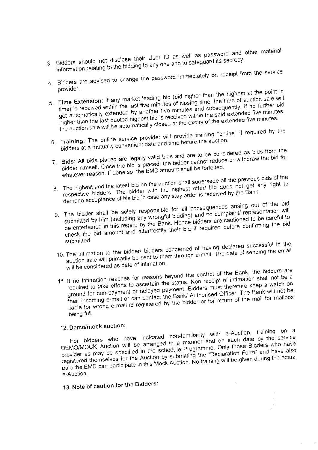3. Bidders should not disclose their User ID as well as password and other material

- information relating to the bidding to any one and to safeguard its secrecy.
- 4. Bidders are advised to change the password immediately on receipt from the service provider.
- 5. Time Extension: If any market leading bid (bid higher than the highest at the point in time) is received within the last five minutes of closing time, the time of auction sale will ally is received within the last the time countries of species and subsequently, if no further bidget automatically extended by another five minutes and subsequently, if no further bid due advantance, seems and answer the contract within the said extended five minutes, the auction sale will be automatically closed at the expiry of the extended five minutes.
- 6. Training: The online service provider will provide training "online" if required by the bidders at a mutually convenient date and time before the auction.
- 7. Bids: All bids placed are legally valid bids and are to be considered as bids from the bidder himself. Once the bid is placed, the bidder cannot reduce or withdraw the bid for whatever reason. If done so, the EMD amount shall be forfeited.
- 8. The highest and the latest bid on the auction shall supersede all the previous bids of the respective bidders. The bidder with the highest offer/ bid does not get any right to demand acceptance of his bid in case any stay order is received by the Bank.
- 9. The bidder shall be solely responsible for all consequences arising out of the bid submitted by him (including any wrongful bidding) and no complaint/ representation will be entertained in this regard by the Bank. Hence bidders are cautioned to be careful to check the bid amount and alter/rectify their bid if required before confirming the bid submitted.
- 10. The intimation to the bidder/ bidders concerned of having declared successful in the auction sale will primarily be sent to them through e-mail. The date of sending the email will be considered as date of intimation.
- 11. If no intimation reaches for reasons beyond the control of the Bank, the bidders are required to take efforts to ascertain the status. Non receipt of intimation shall not be a ground for non-payment or delayed payment. Bidders must therefore keep a watch on their incoming e-mail or can contact the Bank/ Authorised Officer. The Bank will not be liable for wrong e-mail id registered by the bidder or for return of the mail for mailbox being full.

# 12. Demo/mock auction:

For bidders who have indicated non-familiarity with e-Auction, training on a DEMO/MOCK Auction will be arranged in a manner and on such date by the service provider as may be specified in the schedule Programme. Only those Bidders who have registered themselves for the Auction by submitting the "Declaration Form" and have also paid the EMD can participate in this Mock Auction. No training will be given during the actual paid the EMD can participate in this Mock Auction. No training will be given during the actual e-Auction.

# 13. Note of caution for the Bidders: